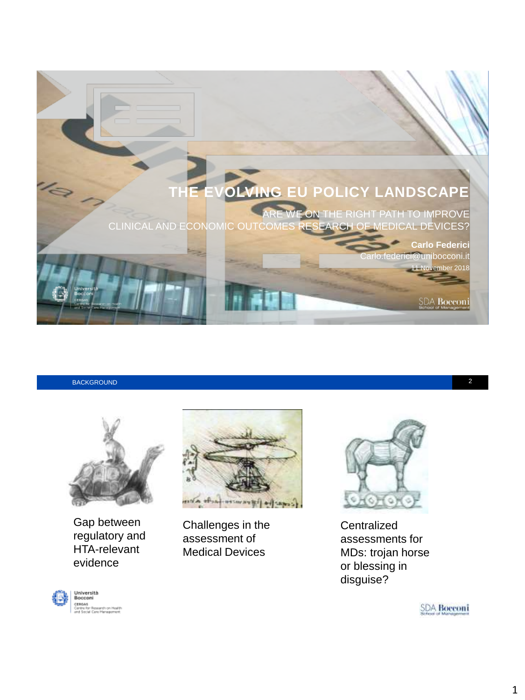

BACKGROUND 2



Gap between regulatory and HTA-relevant evidence





Challenges in the assessment of Medical Devices



**Centralized** assessments for MDs: trojan horse or blessing in disguise?

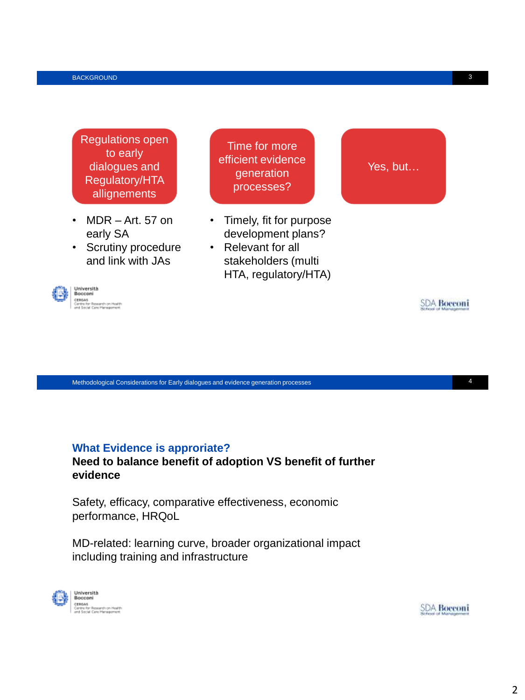Regulations open to early dialogues and Regulatory/HTA allignements

- MDR Art. 57 on early SA
- Scrutiny procedure and link with JAs



Time for more efficient evidence generation processes?

- Timely, fit for purpose development plans?
- Relevant for all stakeholders (multi HTA, regulatory/HTA)

Methodological Considerations for Early dialogues and evidence generation processes 4

## **What Evidence is approriate?**

**Need to balance benefit of adoption VS benefit of further evidence**

Safety, efficacy, comparative effectiveness, economic performance, HRQoL

MD-related: learning curve, broader organizational impact including training and infrastructure



**SDA Boeconi** 

**SDA Bocconi** 

Yes, but…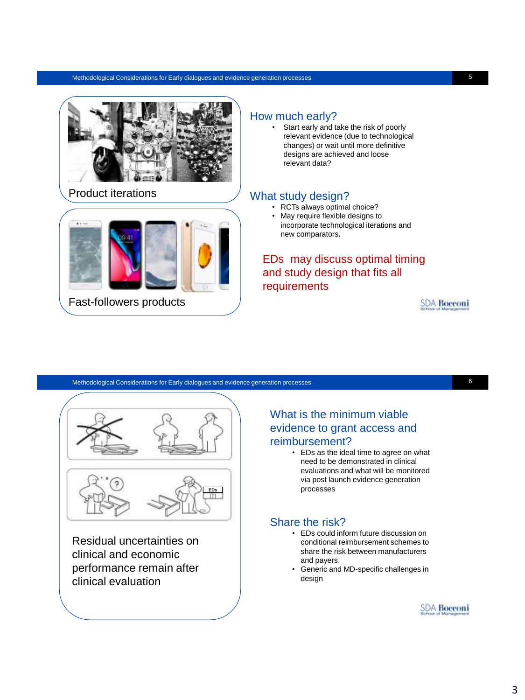#### Methodological Considerations for Early dialogues and evidence generation processes 5



Product iterations



Fast-followers products

### How much early?

Start early and take the risk of poorly relevant evidence (due to technological changes) or wait until more definitive designs are achieved and loose relevant data?

### What study design?

- RCTs always optimal choice?
- May require flexible designs to incorporate technological iterations and new comparators**.**

# EDs may discuss optimal timing and study design that fits all requirements

**SDA Bocconi** 

### Methodological Considerations for Early dialogues and evidence generation processes 6

Residual uncertainties on clinical and economic performance remain after clinical evaluation

# What is the minimum viable evidence to grant access and reimbursement?

• EDs as the ideal time to agree on what need to be demonstrated in clinical evaluations and what will be monitored via post launch evidence generation processes

### Share the risk?

- EDs could inform future discussion on conditional reimbursement schemes to share the risk between manufacturers and payers.
- Generic and MD-specific challenges in design

**SDA Boeconi**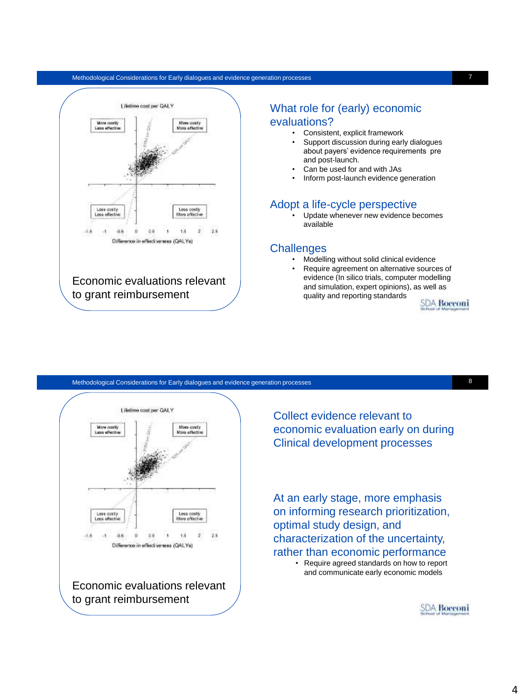#### Methodological Considerations for Early dialogues and evidence generation processes 7



## What role for (early) economic evaluations?

- Consistent, explicit framework
- Support discussion during early dialogues about payers' evidence requirements pre and post-launch.
- Can be used for and with JAs
- Inform post-launch evidence generation

#### Adopt a life-cycle perspective

• Update whenever new evidence becomes available

#### **Challenges**

- Modelling without solid clinical evidence
- Require agreement on alternative sources of evidence (In silico trials, computer modelling and simulation, expert opinions), as well as quality and reporting standards

**SDA Bocconi** 





Collect evidence relevant to economic evaluation early on during Clinical development processes

At an early stage, more emphasis on informing research prioritization, optimal study design, and characterization of the uncertainty, rather than economic performance • Require agreed standards on how to report and communicate early economic models

**SDA Bocconi**